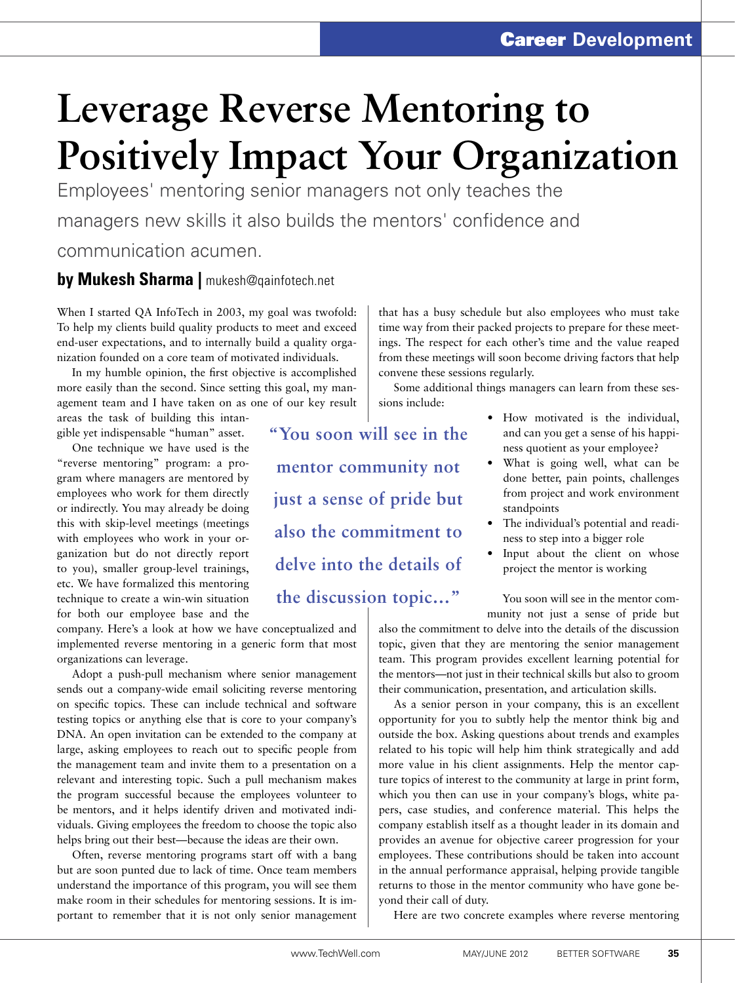## **Leverage Reverse Mentoring to Positively Impact Your Organization**

**"You soon will see in the** 

**mentor community not** 

**just a sense of pride but** 

**also the commitment to** 

**delve into the details of** 

**the discussion topic…"**

Employees' mentoring senior managers not only teaches the managers new skills it also builds the mentors' confidence and communication acumen.

## **by Mukesh Sharma |** mukesh@qainfotech.net

When I started QA InfoTech in 2003, my goal was twofold: To help my clients build quality products to meet and exceed end-user expectations, and to internally build a quality organization founded on a core team of motivated individuals.

In my humble opinion, the first objective is accomplished more easily than the second. Since setting this goal, my management team and I have taken on as one of our key result

areas the task of building this intangible yet indispensable "human" asset.

One technique we have used is the "reverse mentoring" program: a program where managers are mentored by employees who work for them directly or indirectly. You may already be doing this with skip-level meetings (meetings with employees who work in your organization but do not directly report to you), smaller group-level trainings, etc. We have formalized this mentoring technique to create a win-win situation for both our employee base and the

company. Here's a look at how we have conceptualized and implemented reverse mentoring in a generic form that most organizations can leverage.

Adopt a push-pull mechanism where senior management sends out a company-wide email soliciting reverse mentoring on specific topics. These can include technical and software testing topics or anything else that is core to your company's DNA. An open invitation can be extended to the company at large, asking employees to reach out to specific people from the management team and invite them to a presentation on a relevant and interesting topic. Such a pull mechanism makes the program successful because the employees volunteer to be mentors, and it helps identify driven and motivated individuals. Giving employees the freedom to choose the topic also helps bring out their best—because the ideas are their own.

Often, reverse mentoring programs start off with a bang but are soon punted due to lack of time. Once team members understand the importance of this program, you will see them make room in their schedules for mentoring sessions. It is important to remember that it is not only senior management

time way from their packed projects to prepare for these meetings. The respect for each other's time and the value reaped from these meetings will soon become driving factors that help convene these sessions regularly. Some additional things managers can learn from these ses-

that has a busy schedule but also employees who must take

sions include:

- How motivated is the individual, and can you get a sense of his happiness quotient as your employee?
- What is going well, what can be done better, pain points, challenges from project and work environment standpoints
- • The individual's potential and readiness to step into a bigger role
- Input about the client on whose project the mentor is working

You soon will see in the mentor community not just a sense of pride but

also the commitment to delve into the details of the discussion topic, given that they are mentoring the senior management team. This program provides excellent learning potential for the mentors—not just in their technical skills but also to groom their communication, presentation, and articulation skills.

As a senior person in your company, this is an excellent opportunity for you to subtly help the mentor think big and outside the box. Asking questions about trends and examples related to his topic will help him think strategically and add more value in his client assignments. Help the mentor capture topics of interest to the community at large in print form, which you then can use in your company's blogs, white papers, case studies, and conference material. This helps the company establish itself as a thought leader in its domain and provides an avenue for objective career progression for your employees. These contributions should be taken into account in the annual performance appraisal, helping provide tangible returns to those in the mentor community who have gone beyond their call of duty.

Here are two concrete examples where reverse mentoring